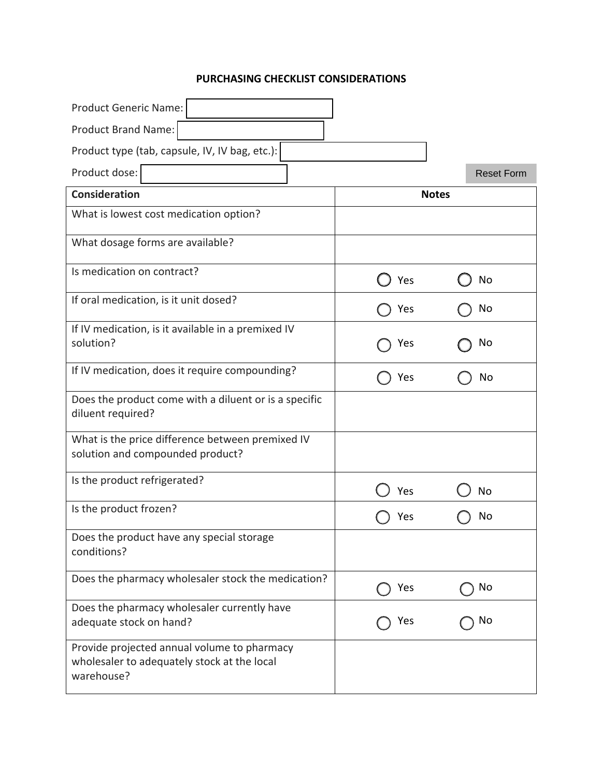## **PURCHASING CHECKLIST CONSIDERATIONS**

| <b>Product Generic Name:</b>                                                                             |              |                   |
|----------------------------------------------------------------------------------------------------------|--------------|-------------------|
| Product Brand Name:                                                                                      |              |                   |
| Product type (tab, capsule, IV, IV bag, etc.):                                                           |              |                   |
| Product dose:                                                                                            |              | <b>Reset Form</b> |
| <b>Consideration</b>                                                                                     | <b>Notes</b> |                   |
| What is lowest cost medication option?                                                                   |              |                   |
| What dosage forms are available?                                                                         |              |                   |
| Is medication on contract?                                                                               | Yes          | No                |
| If oral medication, is it unit dosed?                                                                    | Yes          | No                |
| If IV medication, is it available in a premixed IV<br>solution?                                          | Yes          | No                |
| If IV medication, does it require compounding?                                                           | Yes          | No                |
| Does the product come with a diluent or is a specific<br>diluent required?                               |              |                   |
| What is the price difference between premixed IV<br>solution and compounded product?                     |              |                   |
| Is the product refrigerated?                                                                             | Yes          | No                |
| Is the product frozen?                                                                                   | Yes          | No                |
| Does the product have any special storage<br>conditions?                                                 |              |                   |
| Does the pharmacy wholesaler stock the medication?                                                       | Yes          | No                |
| Does the pharmacy wholesaler currently have<br>adequate stock on hand?                                   | Yes          | No                |
| Provide projected annual volume to pharmacy<br>wholesaler to adequately stock at the local<br>warehouse? |              |                   |